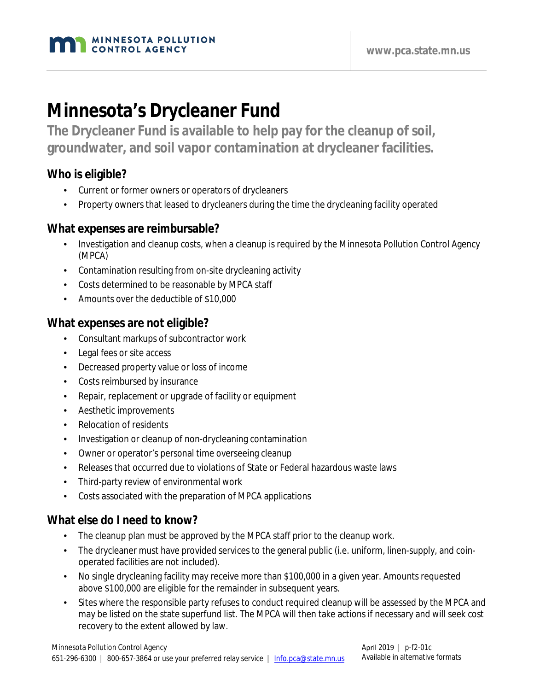

# **Minnesota's Drycleaner Fund**

**The Drycleaner Fund is available to help pay for the cleanup of soil, groundwater, and soil vapor contamination at drycleaner facilities.**

### **Who is eligible?**

- Current or former owners or operators of drycleaners
- Property owners that leased to drycleaners during the time the drycleaning facility operated

#### **What expenses are reimbursable?**

- Investigation and cleanup costs, when a cleanup is required by the Minnesota Pollution Control Agency (MPCA)
- Contamination resulting from on-site drycleaning activity
- Costs determined to be reasonable by MPCA staff
- Amounts over the deductible of \$10,000

#### **What expenses are not eligible?**

- Consultant markups of subcontractor work
- Legal fees or site access
- Decreased property value or loss of income
- Costs reimbursed by insurance
- Repair, replacement or upgrade of facility or equipment
- Aesthetic improvements
- Relocation of residents
- Investigation or cleanup of non-drycleaning contamination
- Owner or operator's personal time overseeing cleanup
- Releases that occurred due to violations of State or Federal hazardous waste laws
- Third-party review of environmental work
- Costs associated with the preparation of MPCA applications

### **What else do I need to know?**

- The cleanup plan must be approved by the MPCA staff prior to the cleanup work.
- The drycleaner must have provided services to the general public (i.e. uniform, linen-supply, and coinoperated facilities are not included).
- No single drycleaning facility may receive more than \$100,000 in a given year. Amounts requested above \$100,000 are eligible for the remainder in subsequent years.
- Sites where the responsible party refuses to conduct required cleanup will be assessed by the MPCA and may be listed on the state superfund list. The MPCA will then take actions if necessary and will seek cost recovery to the extent allowed by law.